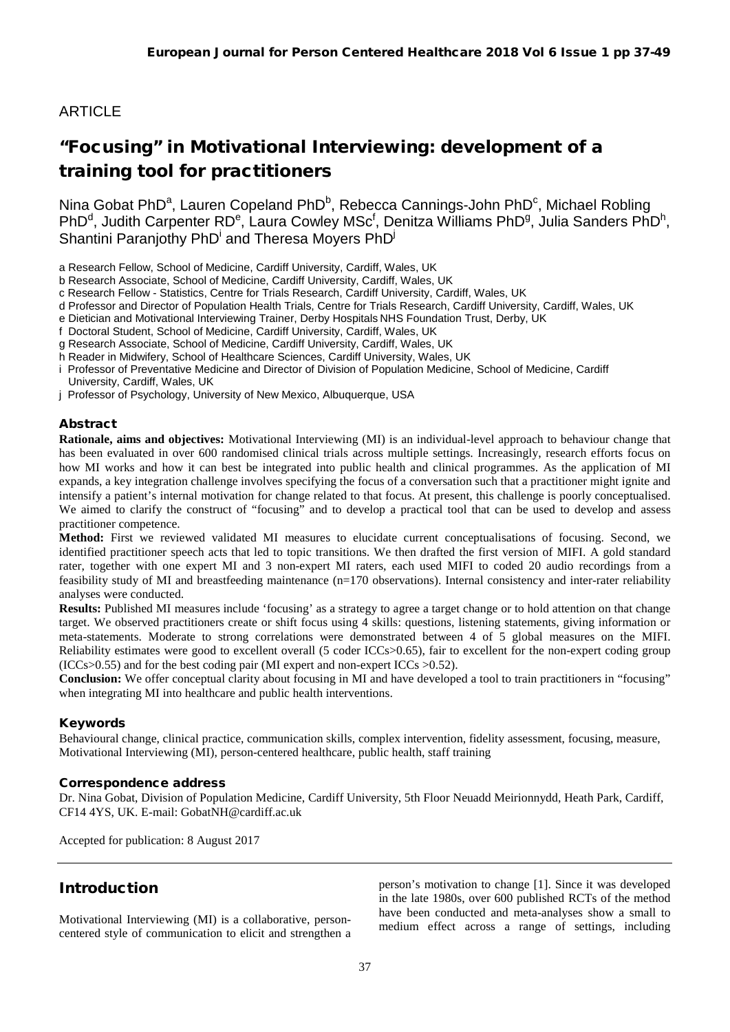## ARTICLE

# "Focusing" in Motivational Interviewing: development of a training tool for practitioners

Nina Gobat PhD<sup>a</sup>, Lauren Copeland PhD<sup>b</sup>, Rebecca Cannings-John PhD<sup>c</sup>, Michael Robling PhD<sup>d</sup>, Judith Carpenter RD<sup>e</sup>, Laura Cowley MSc<sup>f</sup>, Denitza Williams PhD<sup>g</sup>, Julia Sanders PhD<sup>h</sup>, Shantini Paranjothy PhD<sup>i</sup> and Theresa Moyers PhD<sup>j</sup>

a Research Fellow, School of Medicine, Cardiff University, Cardiff, Wales, UK

b Research Associate, School of Medicine, Cardiff University, Cardiff, Wales, UK

c Research Fellow - Statistics, Centre for Trials Research, Cardiff University, Cardiff, Wales, UK

d Professor and Director of Population Health Trials, Centre for Trials Research, Cardiff University, Cardiff, Wales, UK

e Dietician and Motivational Interviewing Trainer, Derby Hospitals NHS Foundation Trust, Derby, UK

f Doctoral Student, School of Medicine, Cardiff University, Cardiff, Wales, UK

g Research Associate, School of Medicine, Cardiff University, Cardiff, Wales, UK

h Reader in Midwifery, School of Healthcare Sciences, Cardiff University, Wales, UK

i Professor of Preventative Medicine and Director of Division of Population Medicine, School of Medicine, Cardiff University, Cardiff, Wales, UK

j Professor of Psychology, University of New Mexico, Albuquerque, USA

### Abstract

**Rationale, aims and objectives:** Motivational Interviewing (MI) is an individual-level approach to behaviour change that has been evaluated in over 600 randomised clinical trials across multiple settings. Increasingly, research efforts focus on how MI works and how it can best be integrated into public health and clinical programmes. As the application of MI expands, a key integration challenge involves specifying the focus of a conversation such that a practitioner might ignite and intensify a patient's internal motivation for change related to that focus. At present, this challenge is poorly conceptualised. We aimed to clarify the construct of "focusing" and to develop a practical tool that can be used to develop and assess practitioner competence.

**Method:** First we reviewed validated MI measures to elucidate current conceptualisations of focusing. Second, we identified practitioner speech acts that led to topic transitions. We then drafted the first version of MIFI. A gold standard rater, together with one expert MI and 3 non-expert MI raters, each used MIFI to coded 20 audio recordings from a feasibility study of MI and breastfeeding maintenance (n=170 observations). Internal consistency and inter-rater reliability analyses were conducted.

**Results:** Published MI measures include 'focusing' as a strategy to agree a target change or to hold attention on that change target. We observed practitioners create or shift focus using 4 skills: questions, listening statements, giving information or meta-statements. Moderate to strong correlations were demonstrated between 4 of 5 global measures on the MIFI. Reliability estimates were good to excellent overall (5 coder ICCs>0.65), fair to excellent for the non-expert coding group  $(ICCs > 0.55)$  and for the best coding pair  $(MI)$  expert and non-expert ICCs  $> 0.52$ ).

**Conclusion:** We offer conceptual clarity about focusing in MI and have developed a tool to train practitioners in "focusing" when integrating MI into healthcare and public health interventions.

### Keywords

Behavioural change, clinical practice, communication skills, complex intervention, fidelity assessment, focusing, measure, Motivational Interviewing (MI), person-centered healthcare, public health, staff training

### Correspondence address

Dr. Nina Gobat, Division of Population Medicine, Cardiff University, 5th Floor Neuadd Meirionnydd, Heath Park, Cardiff, CF14 4YS, UK. E-mail[: GobatNH@cardiff.ac.uk](mailto:GobatNH@cardiff.ac.uk)

Accepted for publication: 8 August 2017

### Introduction

Motivational Interviewing (MI) is a collaborative, personcentered style of communication to elicit and strengthen a person's motivation to change [1]. Since it was developed in the late 1980s, over 600 published RCTs of the method have been conducted and meta-analyses show a small to medium effect across a range of settings, including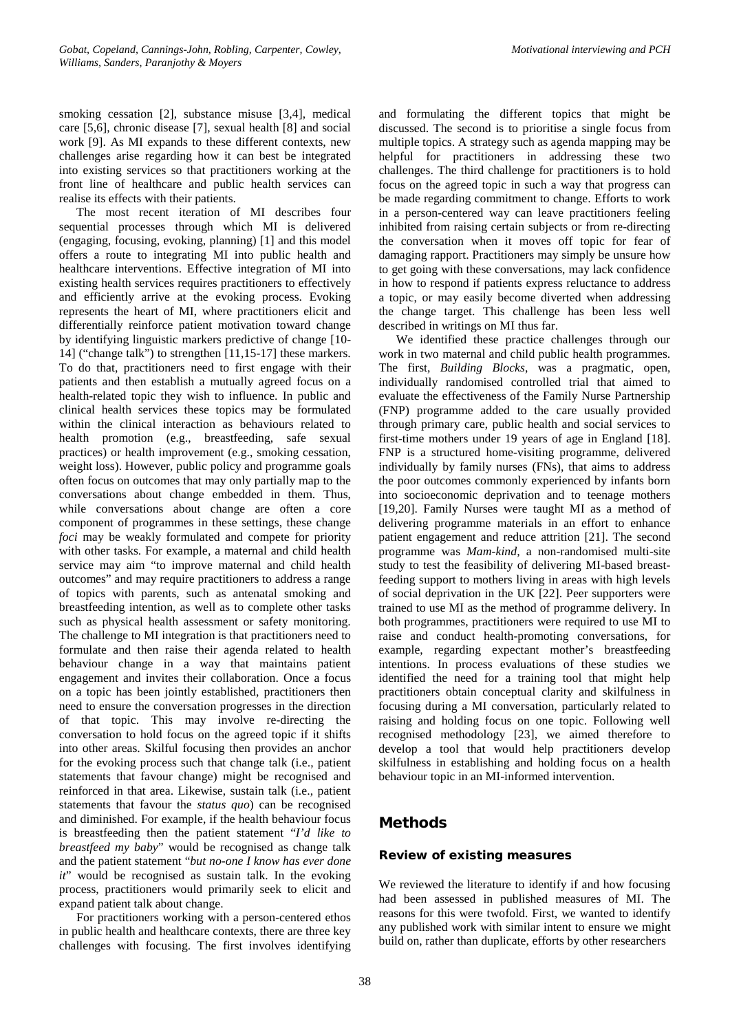smoking cessation [2], substance misuse [3,4], medical care [5,6], chronic disease [7], sexual health [8] and social work [9]. As MI expands to these different contexts, new challenges arise regarding how it can best be integrated into existing services so that practitioners working at the front line of healthcare and public health services can realise its effects with their patients.

The most recent iteration of MI describes four sequential processes through which MI is delivered (engaging, focusing, evoking, planning) [1] and this model offers a route to integrating MI into public health and healthcare interventions. Effective integration of MI into existing health services requires practitioners to effectively and efficiently arrive at the evoking process. Evoking represents the heart of MI, where practitioners elicit and differentially reinforce patient motivation toward change by identifying linguistic markers predictive of change [10- 14] ("change talk") to strengthen [11,15-17] these markers. To do that, practitioners need to first engage with their patients and then establish a mutually agreed focus on a health-related topic they wish to influence. In public and clinical health services these topics may be formulated within the clinical interaction as behaviours related to health promotion (e.g., breastfeeding, safe sexual practices) or health improvement (e.g., smoking cessation, weight loss). However, public policy and programme goals often focus on outcomes that may only partially map to the conversations about change embedded in them. Thus, while conversations about change are often a core component of programmes in these settings, these change *foci* may be weakly formulated and compete for priority with other tasks. For example, a maternal and child health service may aim "to improve maternal and child health outcomes" and may require practitioners to address a range of topics with parents, such as antenatal smoking and breastfeeding intention, as well as to complete other tasks such as physical health assessment or safety monitoring. The challenge to MI integration is that practitioners need to formulate and then raise their agenda related to health behaviour change in a way that maintains patient engagement and invites their collaboration. Once a focus on a topic has been jointly established, practitioners then need to ensure the conversation progresses in the direction of that topic. This may involve re-directing the conversation to hold focus on the agreed topic if it shifts into other areas. Skilful focusing then provides an anchor for the evoking process such that change talk (i.e., patient statements that favour change) might be recognised and reinforced in that area. Likewise, sustain talk (i.e., patient statements that favour the *status quo*) can be recognised and diminished. For example, if the health behaviour focus is breastfeeding then the patient statement "*I'd like to breastfeed my baby*" would be recognised as change talk and the patient statement "*but no-one I know has ever done it*" would be recognised as sustain talk. In the evoking process, practitioners would primarily seek to elicit and expand patient talk about change.

For practitioners working with a person-centered ethos in public health and healthcare contexts, there are three key challenges with focusing. The first involves identifying and formulating the different topics that might be discussed. The second is to prioritise a single focus from multiple topics. A strategy such as agenda mapping may be helpful for practitioners in addressing these two challenges. The third challenge for practitioners is to hold focus on the agreed topic in such a way that progress can be made regarding commitment to change. Efforts to work in a person-centered way can leave practitioners feeling inhibited from raising certain subjects or from re-directing the conversation when it moves off topic for fear of damaging rapport. Practitioners may simply be unsure how to get going with these conversations, may lack confidence in how to respond if patients express reluctance to address a topic, or may easily become diverted when addressing the change target. This challenge has been less well described in writings on MI thus far.

We identified these practice challenges through our work in two maternal and child public health programmes. The first, *Building Blocks*, was a pragmatic, open, individually randomised controlled trial that aimed to evaluate the effectiveness of the Family Nurse Partnership (FNP) programme added to the care usually provided through primary care, public health and social services to first-time mothers under 19 years of age in England [18]. FNP is a structured home-visiting programme, delivered individually by family nurses (FNs), that aims to address the poor outcomes commonly experienced by infants born into socioeconomic deprivation and to teenage mothers [19,20]. Family Nurses were taught MI as a method of delivering programme materials in an effort to enhance patient engagement and reduce attrition [21]. The second programme was *Mam-kind,* a non-randomised multi-site study to test the feasibility of delivering MI-based breastfeeding support to mothers living in areas with high levels of social deprivation in the UK [22]. Peer supporters were trained to use MI as the method of programme delivery. In both programmes, practitioners were required to use MI to raise and conduct health-promoting conversations, for example, regarding expectant mother's breastfeeding intentions. In process evaluations of these studies we identified the need for a training tool that might help practitioners obtain conceptual clarity and skilfulness in focusing during a MI conversation, particularly related to raising and holding focus on one topic. Following well recognised methodology [23], we aimed therefore to develop a tool that would help practitioners develop skilfulness in establishing and holding focus on a health behaviour topic in an MI-informed intervention.

### Methods

### Review of existing measures

We reviewed the literature to identify if and how focusing had been assessed in published measures of MI. The reasons for this were twofold. First, we wanted to identify any published work with similar intent to ensure we might build on, rather than duplicate, efforts by other researchers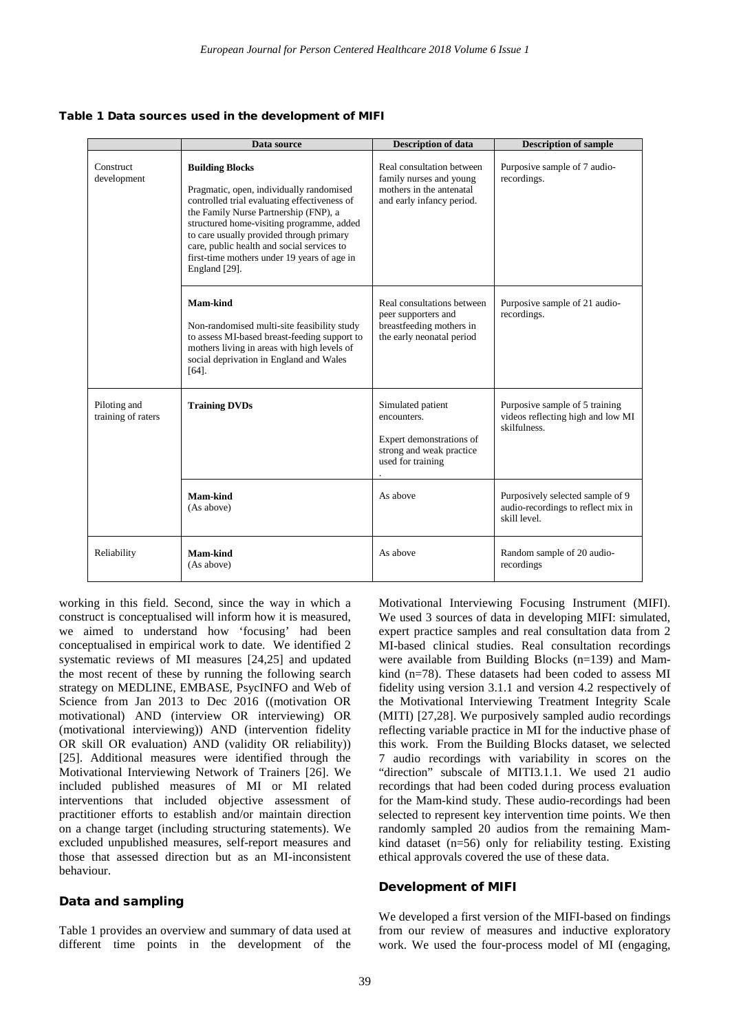Table 1 Data sources used in the development of MIFI

|                                    | Data source                                                                                                                                                                                                                                                                                                                                                        | <b>Description of data</b>                                                                                    | <b>Description of sample</b>                                                           |
|------------------------------------|--------------------------------------------------------------------------------------------------------------------------------------------------------------------------------------------------------------------------------------------------------------------------------------------------------------------------------------------------------------------|---------------------------------------------------------------------------------------------------------------|----------------------------------------------------------------------------------------|
| <b>Construct</b><br>development    | <b>Building Blocks</b><br>Pragmatic, open, individually randomised<br>controlled trial evaluating effectiveness of<br>the Family Nurse Partnership (FNP), a<br>structured home-visiting programme, added<br>to care usually provided through primary<br>care, public health and social services to<br>first-time mothers under 19 years of age in<br>England [29]. | Real consultation between<br>family nurses and young<br>mothers in the antenatal<br>and early infancy period. | Purposive sample of 7 audio-<br>recordings.                                            |
|                                    | Mam-kind<br>Non-randomised multi-site feasibility study<br>to assess MI-based breast-feeding support to<br>mothers living in areas with high levels of<br>social deprivation in England and Wales<br>$[64]$ .                                                                                                                                                      | Real consultations between<br>peer supporters and<br>breastfeeding mothers in<br>the early neonatal period    | Purposive sample of 21 audio-<br>recordings.                                           |
| Piloting and<br>training of raters | <b>Training DVDs</b>                                                                                                                                                                                                                                                                                                                                               | Simulated patient<br>encounters.<br>Expert demonstrations of<br>strong and weak practice<br>used for training | Purposive sample of 5 training<br>videos reflecting high and low MI<br>skilfulness.    |
|                                    | Mam-kind<br>(As above)                                                                                                                                                                                                                                                                                                                                             | As above                                                                                                      | Purposively selected sample of 9<br>audio-recordings to reflect mix in<br>skill level. |
| Reliability                        | Mam-kind<br>(As above)                                                                                                                                                                                                                                                                                                                                             | As above                                                                                                      | Random sample of 20 audio-<br>recordings                                               |

working in this field. Second, since the way in which a construct is conceptualised will inform how it is measured, we aimed to understand how 'focusing' had been conceptualised in empirical work to date. We identified 2 systematic reviews of MI measures [24,25] and updated the most recent of these by running the following search strategy on MEDLINE, EMBASE, PsycINFO and Web of Science from Jan 2013 to Dec 2016 ((motivation OR motivational) AND (interview OR interviewing) OR (motivational interviewing)) AND (intervention fidelity OR skill OR evaluation) AND (validity OR reliability)) [25]. Additional measures were identified through the Motivational Interviewing Network of Trainers [26]. We included published measures of MI or MI related interventions that included objective assessment of practitioner efforts to establish and/or maintain direction on a change target (including structuring statements). We excluded unpublished measures, self-report measures and those that assessed direction but as an MI-inconsistent behaviour.

### Data and sampling

Table 1 provides an overview and summary of data used at different time points in the development of the

Motivational Interviewing Focusing Instrument (MIFI). We used 3 sources of data in developing MIFI: simulated, expert practice samples and real consultation data from 2 MI-based clinical studies. Real consultation recordings were available from Building Blocks (n=139) and Mamkind (n=78). These datasets had been coded to assess MI fidelity using version 3.1.1 and version 4.2 respectively of the Motivational Interviewing Treatment Integrity Scale (MITI) [27,28]. We purposively sampled audio recordings reflecting variable practice in MI for the inductive phase of this work. From the Building Blocks dataset, we selected 7 audio recordings with variability in scores on the "direction" subscale of MITI3.1.1. We used 21 audio recordings that had been coded during process evaluation for the Mam-kind study. These audio-recordings had been selected to represent key intervention time points. We then randomly sampled 20 audios from the remaining Mamkind dataset (n=56) only for reliability testing. Existing ethical approvals covered the use of these data.

#### Development of MIFI

We developed a first version of the MIFI-based on findings from our review of measures and inductive exploratory work. We used the four-process model of MI (engaging,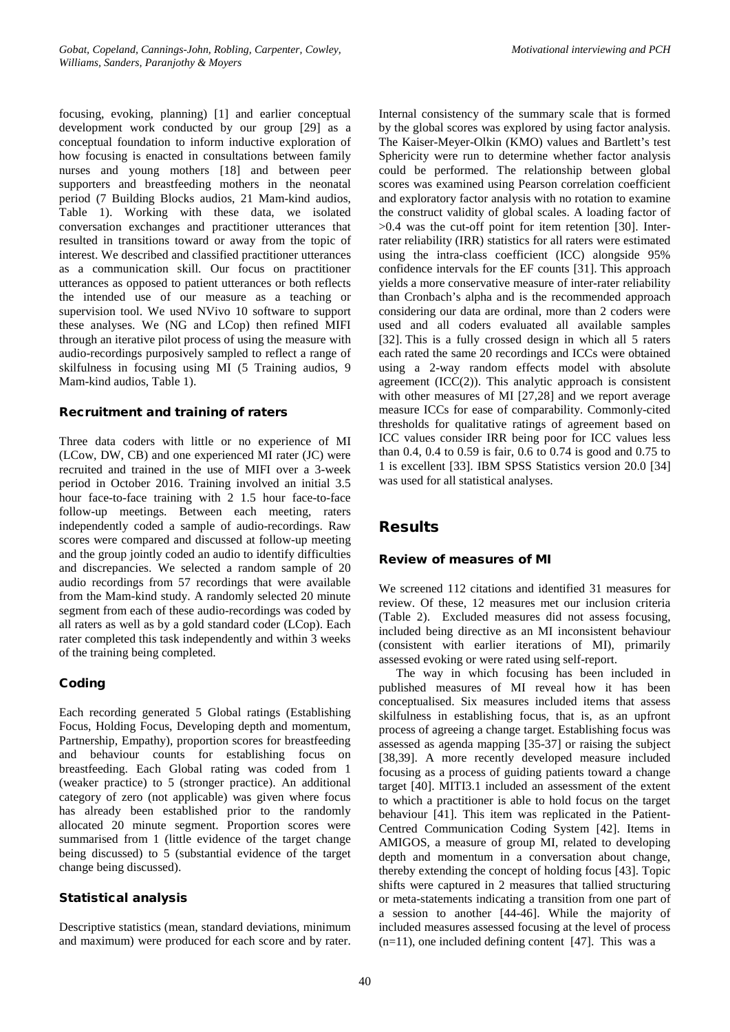focusing, evoking, planning) [1] and earlier conceptual development work conducted by our group [29] as a conceptual foundation to inform inductive exploration of how focusing is enacted in consultations between family nurses and young mothers [18] and between peer supporters and breastfeeding mothers in the neonatal period (7 Building Blocks audios, 21 Mam-kind audios, Table 1). Working with these data, we isolated conversation exchanges and practitioner utterances that resulted in transitions toward or away from the topic of interest. We described and classified practitioner utterances as a communication skill. Our focus on practitioner utterances as opposed to patient utterances or both reflects the intended use of our measure as a teaching or supervision tool. We used NVivo 10 software to support these analyses. We (NG and LCop) then refined MIFI through an iterative pilot process of using the measure with audio-recordings purposively sampled to reflect a range of skilfulness in focusing using MI (5 Training audios, 9 Mam-kind audios, Table 1).

### Recruitment and training of raters

Three data coders with little or no experience of MI (LCow, DW, CB) and one experienced MI rater (JC) were recruited and trained in the use of MIFI over a 3-week period in October 2016. Training involved an initial 3.5 hour face-to-face training with 2 1.5 hour face-to-face follow-up meetings. Between each meeting, raters independently coded a sample of audio-recordings. Raw scores were compared and discussed at follow-up meeting and the group jointly coded an audio to identify difficulties and discrepancies. We selected a random sample of 20 audio recordings from 57 recordings that were available from the Mam-kind study. A randomly selected 20 minute segment from each of these audio-recordings was coded by all raters as well as by a gold standard coder (LCop). Each rater completed this task independently and within 3 weeks of the training being completed.

### Coding

Each recording generated 5 Global ratings (Establishing Focus, Holding Focus, Developing depth and momentum, Partnership, Empathy), proportion scores for breastfeeding and behaviour counts for establishing focus on breastfeeding. Each Global rating was coded from 1 (weaker practice) to 5 (stronger practice). An additional category of zero (not applicable) was given where focus has already been established prior to the randomly allocated 20 minute segment. Proportion scores were summarised from 1 (little evidence of the target change being discussed) to 5 (substantial evidence of the target change being discussed).

### Statistical analysis

Descriptive statistics (mean, standard deviations, minimum and maximum) were produced for each score and by rater. Internal consistency of the summary scale that is formed by the global scores was explored by using factor analysis. The Kaiser-Meyer-Olkin (KMO) values and Bartlett's test Sphericity were run to determine whether factor analysis could be performed. The relationship between global scores was examined using Pearson correlation coefficient and exploratory factor analysis with no rotation to examine the construct validity of global scales. A loading factor of >0.4 was the cut-off point for item retention [30]. Interrater reliability (IRR) statistics for all raters were estimated using the intra-class coefficient (ICC) alongside 95% confidence intervals for the EF counts [31]. This approach yields a more conservative measure of inter-rater reliability than Cronbach's alpha and is the recommended approach considering our data are ordinal, more than 2 coders were used and all coders evaluated all available samples [32]. This is a fully crossed design in which all 5 raters each rated the same 20 recordings and ICCs were obtained using a 2-way random effects model with absolute agreement  $(ICC(2))$ . This analytic approach is consistent with other measures of MI [27,28] and we report average measure ICCs for ease of comparability. Commonly-cited thresholds for qualitative ratings of agreement based on ICC values consider IRR being poor for ICC values less than 0.4, 0.4 to 0.59 is fair, 0.6 to 0.74 is good and 0.75 to 1 is excellent [33]. IBM SPSS Statistics version 20.0 [34] was used for all statistical analyses.

### Results

### Review of measures of MI

We screened 112 citations and identified 31 measures for review. Of these, 12 measures met our inclusion criteria (Table 2). Excluded measures did not assess focusing, included being directive as an MI inconsistent behaviour (consistent with earlier iterations of MI), primarily assessed evoking or were rated using self-report.

The way in which focusing has been included in published measures of MI reveal how it has been conceptualised. Six measures included items that assess skilfulness in establishing focus, that is, as an upfront process of agreeing a change target. Establishing focus was assessed as agenda mapping [35-37] or raising the subject [38,39]. A more recently developed measure included focusing as a process of guiding patients toward a change target [40]. MITI3.1 included an assessment of the extent to which a practitioner is able to hold focus on the target behaviour [41]. This item was replicated in the Patient-Centred Communication Coding System [42]. Items in AMIGOS, a measure of group MI, related to developing depth and momentum in a conversation about change, thereby extending the concept of holding focus [43]. Topic shifts were captured in 2 measures that tallied structuring or meta-statements indicating a transition from one part of a session to another [44-46]. While the majority of included measures assessed focusing at the level of process  $(n=11)$ , one included defining content [47]. This was a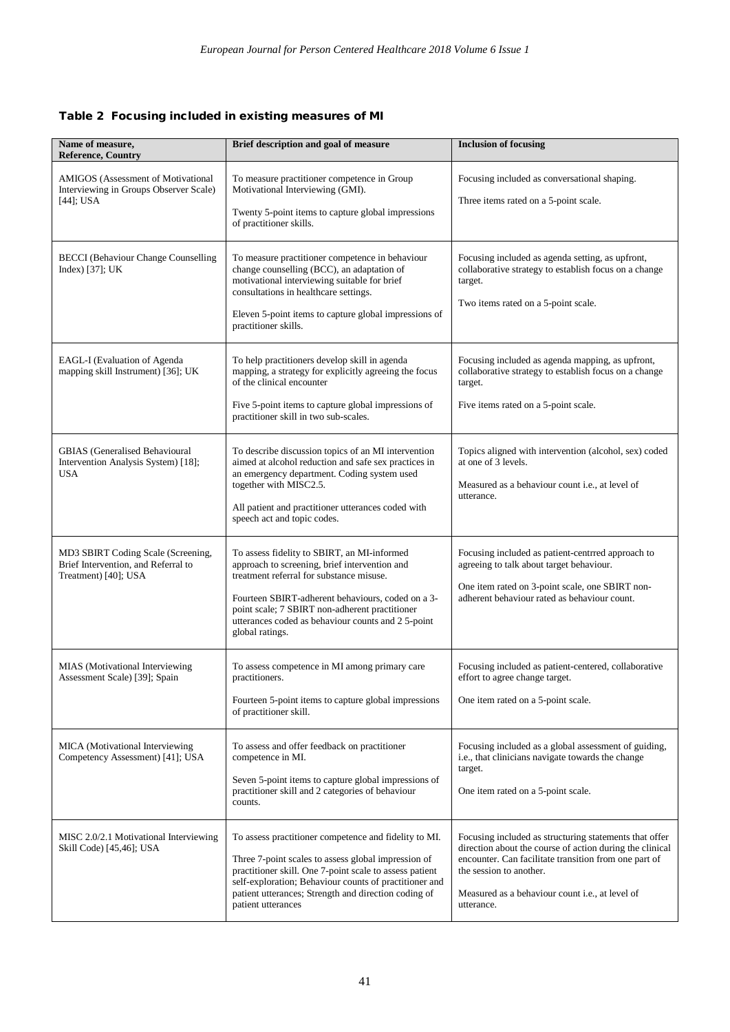### Table 2 Focusing included in existing measures of MI

| Name of measure,<br><b>Reference, Country</b>                                                       | Brief description and goal of measure                                                                                                                                                                                                                                                                                   | <b>Inclusion of focusing</b>                                                                                                                                                                                                                                                    |
|-----------------------------------------------------------------------------------------------------|-------------------------------------------------------------------------------------------------------------------------------------------------------------------------------------------------------------------------------------------------------------------------------------------------------------------------|---------------------------------------------------------------------------------------------------------------------------------------------------------------------------------------------------------------------------------------------------------------------------------|
| <b>AMIGOS</b> (Assessment of Motivational<br>Interviewing in Groups Observer Scale)<br>$[44]$ ; USA | To measure practitioner competence in Group<br>Motivational Interviewing (GMI).<br>Twenty 5-point items to capture global impressions<br>of practitioner skills.                                                                                                                                                        | Focusing included as conversational shaping.<br>Three items rated on a 5-point scale.                                                                                                                                                                                           |
| <b>BECCI</b> (Behaviour Change Counselling<br>Index) [37]; UK                                       | To measure practitioner competence in behaviour<br>change counselling (BCC), an adaptation of<br>motivational interviewing suitable for brief<br>consultations in healthcare settings.<br>Eleven 5-point items to capture global impressions of<br>practitioner skills.                                                 | Focusing included as agenda setting, as upfront,<br>collaborative strategy to establish focus on a change<br>target.<br>Two items rated on a 5-point scale.                                                                                                                     |
| EAGL-I (Evaluation of Agenda<br>mapping skill Instrument) [36]; UK                                  | To help practitioners develop skill in agenda<br>mapping, a strategy for explicitly agreeing the focus<br>of the clinical encounter<br>Five 5-point items to capture global impressions of<br>practitioner skill in two sub-scales.                                                                                     | Focusing included as agenda mapping, as upfront,<br>collaborative strategy to establish focus on a change<br>target.<br>Five items rated on a 5-point scale.                                                                                                                    |
| <b>GBIAS</b> (Generalised Behavioural<br>Intervention Analysis System) [18];<br>USA                 | To describe discussion topics of an MI intervention<br>aimed at alcohol reduction and safe sex practices in<br>an emergency department. Coding system used<br>together with MISC2.5.<br>All patient and practitioner utterances coded with<br>speech act and topic codes.                                               | Topics aligned with intervention (alcohol, sex) coded<br>at one of 3 levels.<br>Measured as a behaviour count <i>i.e.</i> , at level of<br>utterance.                                                                                                                           |
| MD3 SBIRT Coding Scale (Screening,<br>Brief Intervention, and Referral to<br>Treatment) [40]; USA   | To assess fidelity to SBIRT, an MI-informed<br>approach to screening, brief intervention and<br>treatment referral for substance misuse.<br>Fourteen SBIRT-adherent behaviours, coded on a 3-<br>point scale; 7 SBIRT non-adherent practitioner<br>utterances coded as behaviour counts and 25-point<br>global ratings. | Focusing included as patient-centrred approach to<br>agreeing to talk about target behaviour.<br>One item rated on 3-point scale, one SBIRT non-<br>adherent behaviour rated as behaviour count.                                                                                |
| MIAS (Motivational Interviewing<br>Assessment Scale) [39]; Spain                                    | To assess competence in MI among primary care<br>practitioners.<br>Fourteen 5-point items to capture global impressions<br>of practitioner skill.                                                                                                                                                                       | Focusing included as patient-centered, collaborative<br>effort to agree change target.<br>One item rated on a 5-point scale.                                                                                                                                                    |
| MICA (Motivational Interviewing<br>Competency Assessment) [41]; USA                                 | To assess and offer feedback on practitioner<br>competence in MI.<br>Seven 5-point items to capture global impressions of<br>practitioner skill and 2 categories of behaviour<br>counts.                                                                                                                                | Focusing included as a global assessment of guiding,<br>i.e., that clinicians navigate towards the change<br>target.<br>One item rated on a 5-point scale.                                                                                                                      |
| MISC 2.0/2.1 Motivational Interviewing<br>Skill Code) [45,46]; USA                                  | To assess practitioner competence and fidelity to MI.<br>Three 7-point scales to assess global impression of<br>practitioner skill. One 7-point scale to assess patient<br>self-exploration; Behaviour counts of practitioner and<br>patient utterances; Strength and direction coding of<br>patient utterances         | Focusing included as structuring statements that offer<br>direction about the course of action during the clinical<br>encounter. Can facilitate transition from one part of<br>the session to another.<br>Measured as a behaviour count <i>i.e.</i> , at level of<br>utterance. |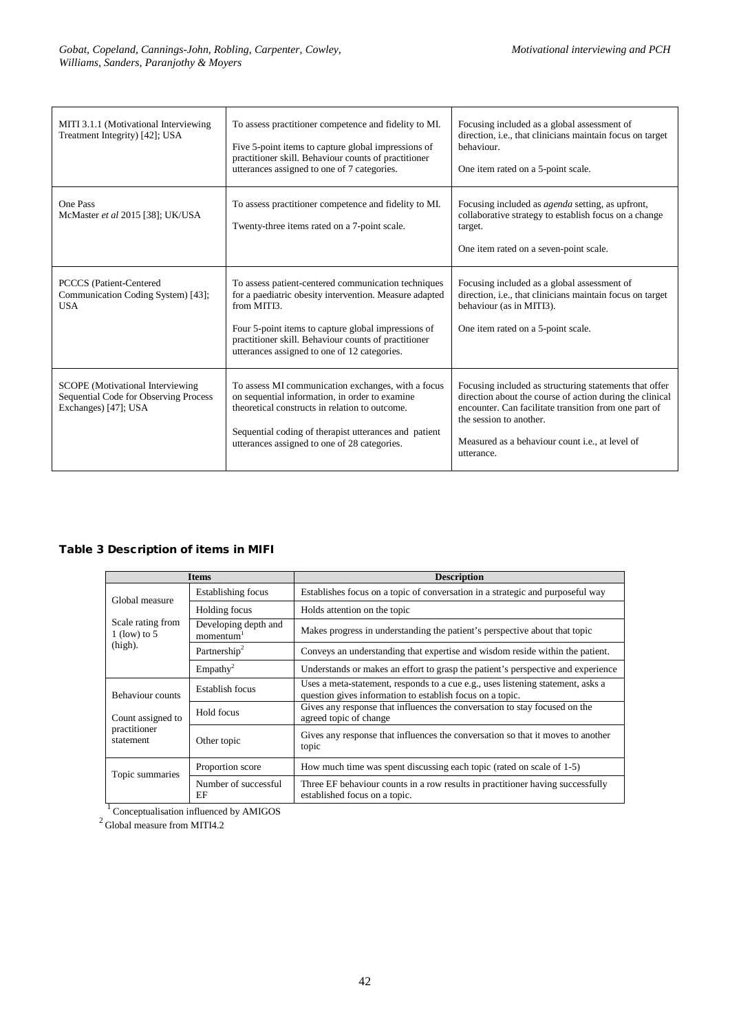| MITI 3.1.1 (Motivational Interviewing<br>Treatment Integrity) [42]; USA                                  | To assess practitioner competence and fidelity to MI.<br>Five 5-point items to capture global impressions of<br>practitioner skill. Behaviour counts of practitioner<br>utterances assigned to one of 7 categories.                                                                         | Focusing included as a global assessment of<br>direction, i.e., that clinicians maintain focus on target<br>behaviour.<br>One item rated on a 5-point scale.                                                                                                                    |
|----------------------------------------------------------------------------------------------------------|---------------------------------------------------------------------------------------------------------------------------------------------------------------------------------------------------------------------------------------------------------------------------------------------|---------------------------------------------------------------------------------------------------------------------------------------------------------------------------------------------------------------------------------------------------------------------------------|
| One Pass<br>McMaster et al 2015 [38]; UK/USA                                                             | To assess practitioner competence and fidelity to MI.<br>Twenty-three items rated on a 7-point scale.                                                                                                                                                                                       | Focusing included as <i>agenda</i> setting, as upfront,<br>collaborative strategy to establish focus on a change<br>target.<br>One item rated on a seven-point scale.                                                                                                           |
| <b>PCCCS</b> (Patient-Centered<br>Communication Coding System) [43];<br><b>USA</b>                       | To assess patient-centered communication techniques<br>for a paediatric obesity intervention. Measure adapted<br>from MITI3.<br>Four 5-point items to capture global impressions of<br>practitioner skill. Behaviour counts of practitioner<br>utterances assigned to one of 12 categories. | Focusing included as a global assessment of<br>direction, i.e., that clinicians maintain focus on target<br>behaviour (as in MITI3).<br>One item rated on a 5-point scale.                                                                                                      |
| <b>SCOPE</b> (Motivational Interviewing<br>Sequential Code for Observing Process<br>Exchanges) [47]; USA | To assess MI communication exchanges, with a focus<br>on sequential information, in order to examine<br>theoretical constructs in relation to outcome.<br>Sequential coding of therapist utterances and patient<br>utterances assigned to one of 28 categories.                             | Focusing included as structuring statements that offer<br>direction about the course of action during the clinical<br>encounter. Can facilitate transition from one part of<br>the session to another.<br>Measured as a behaviour count <i>i.e.</i> , at level of<br>utterance. |

### Table 3 Description of items in MIFI

|                                     | <b>Items</b>                                  | <b>Description</b>                                                                                                                           |
|-------------------------------------|-----------------------------------------------|----------------------------------------------------------------------------------------------------------------------------------------------|
| Global measure                      | Establishing focus                            | Establishes focus on a topic of conversation in a strategic and purposeful way                                                               |
|                                     | Holding focus                                 | Holds attention on the topic                                                                                                                 |
| Scale rating from<br>$1$ (low) to 5 | Developing depth and<br>momentum <sup>1</sup> | Makes progress in understanding the patient's perspective about that topic                                                                   |
| $(high)$ .                          | Partnership <sup>2</sup>                      | Conveys an understanding that expertise and wisdom reside within the patient.                                                                |
|                                     | Empathy <sup>2</sup>                          | Understands or makes an effort to grasp the patient's perspective and experience                                                             |
| <b>Behaviour counts</b>             | Establish focus                               | Uses a meta-statement, responds to a cue e.g., uses listening statement, asks a<br>question gives information to establish focus on a topic. |
| Count assigned to                   | Hold focus                                    | Gives any response that influences the conversation to stay focused on the<br>agreed topic of change                                         |
| practitioner<br>statement           | Other topic                                   | Gives any response that influences the conversation so that it moves to another<br>topic                                                     |
| Topic summaries                     | Proportion score                              | How much time was spent discussing each topic (rated on scale of 1-5)                                                                        |
|                                     | Number of successful<br>EF                    | Three EF behaviour counts in a row results in practitioner having successfully<br>established focus on a topic.                              |

 $\frac{1}{2}$  Conceptualisation influenced by AMIGOS  $\frac{2}{2}$  Global measure from MITI4.2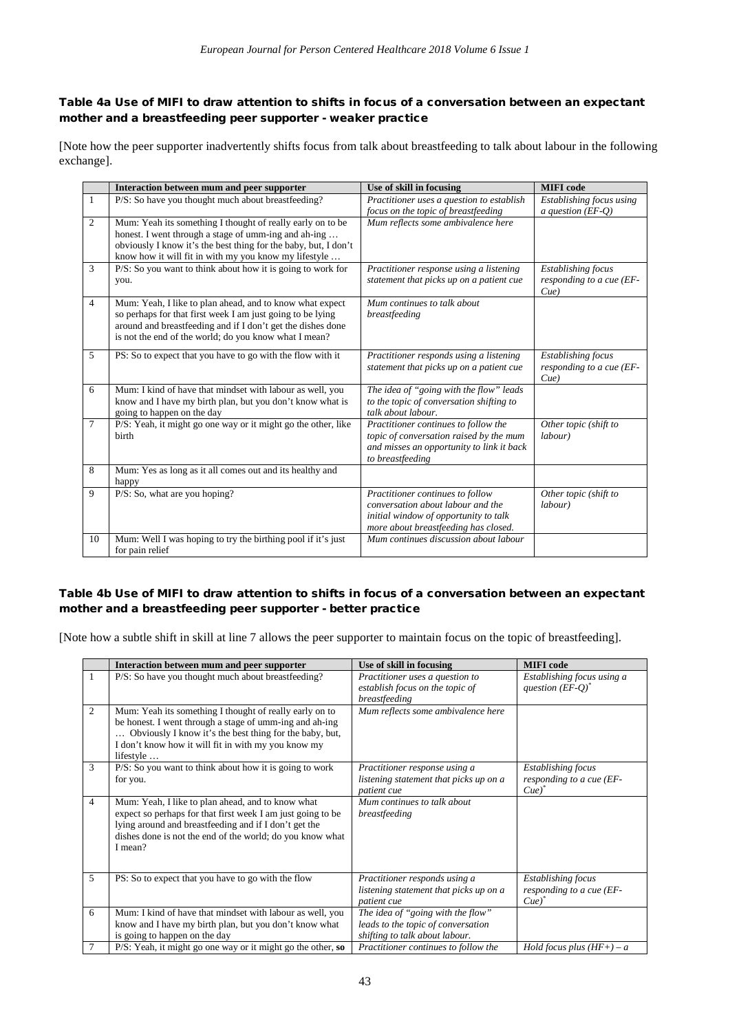### Table 4a Use of MIFI to draw attention to shifts in focus of a conversation between an expectant mother and a breastfeeding peer supporter - weaker practice

[Note how the peer supporter inadvertently shifts focus from talk about breastfeeding to talk about labour in the following exchange].

|                | Interaction between mum and peer supporter                                                                                                                                                                                                     | Use of skill in focusing                                                                                                                               | <b>MIFI</b> code                                             |
|----------------|------------------------------------------------------------------------------------------------------------------------------------------------------------------------------------------------------------------------------------------------|--------------------------------------------------------------------------------------------------------------------------------------------------------|--------------------------------------------------------------|
| 1              | P/S: So have you thought much about breastfeeding?                                                                                                                                                                                             | Practitioner uses a question to establish                                                                                                              | Establishing focus using                                     |
|                |                                                                                                                                                                                                                                                | focus on the topic of breastfeeding                                                                                                                    | a question $(EF-Q)$                                          |
| $\overline{2}$ | Mum: Yeah its something I thought of really early on to be<br>honest. I went through a stage of umm-ing and ah-ing                                                                                                                             | Mum reflects some ambivalence here                                                                                                                     |                                                              |
|                | obviously I know it's the best thing for the baby, but, I don't<br>know how it will fit in with my you know my lifestyle                                                                                                                       |                                                                                                                                                        |                                                              |
| 3              | P/S: So you want to think about how it is going to work for<br>you.                                                                                                                                                                            | Practitioner response using a listening<br>statement that picks up on a patient cue                                                                    | <b>Establishing</b> focus<br>responding to a cue (EF-<br>Cue |
| $\overline{4}$ | Mum: Yeah, I like to plan ahead, and to know what expect<br>so perhaps for that first week I am just going to be lying<br>around and breastfeeding and if I don't get the dishes done<br>is not the end of the world; do you know what I mean? | Mum continues to talk about<br>breastfeeding                                                                                                           |                                                              |
| 5              | PS: So to expect that you have to go with the flow with it                                                                                                                                                                                     | Practitioner responds using a listening<br>statement that picks up on a patient cue                                                                    | <b>Establishing</b> focus<br>responding to a cue (EF-<br>Cue |
| 6              | Mum: I kind of have that mindset with labour as well, you<br>know and I have my birth plan, but you don't know what is<br>going to happen on the day                                                                                           | The idea of "going with the flow" leads<br>to the topic of conversation shifting to<br>talk about labour.                                              |                                                              |
| $\tau$         | P/S: Yeah, it might go one way or it might go the other, like<br>birth                                                                                                                                                                         | Practitioner continues to follow the<br>topic of conversation raised by the mum<br>and misses an opportunity to link it back<br>to breastfeeding       | Other topic (shift to<br>labour)                             |
| 8              | Mum: Yes as long as it all comes out and its healthy and<br>happy                                                                                                                                                                              |                                                                                                                                                        |                                                              |
| 9              | $P/S$ : So, what are you hoping?                                                                                                                                                                                                               | Practitioner continues to follow<br>conversation about labour and the<br>initial window of opportunity to talk<br>more about breastfeeding has closed. | Other topic (shift to<br>labour)                             |
| 10             | Mum: Well I was hoping to try the birthing pool if it's just<br>for pain relief                                                                                                                                                                | Mum continues discussion about labour                                                                                                                  |                                                              |

### Table 4b Use of MIFI to draw attention to shifts in focus of a conversation between an expectant mother and a breastfeeding peer supporter - better practice

[Note how a subtle shift in skill at line 7 allows the peer supporter to maintain focus on the topic of breastfeeding].

|                | Interaction between mum and peer supporter                                                                                                                                                                                                        | Use of skill in focusing                                                                                  | <b>MIFI</b> code                                                             |
|----------------|---------------------------------------------------------------------------------------------------------------------------------------------------------------------------------------------------------------------------------------------------|-----------------------------------------------------------------------------------------------------------|------------------------------------------------------------------------------|
| $\mathbf{1}$   | P/S: So have you thought much about breastfeeding?                                                                                                                                                                                                | Practitioner uses a question to<br>establish focus on the topic of<br>breastfeeding                       | Establishing focus using a<br>question $(EF-Q)^*$                            |
| $\overline{2}$ | Mum: Yeah its something I thought of really early on to<br>be honest. I went through a stage of umm-ing and ah-ing<br>Obviously I know it's the best thing for the baby, but,<br>I don't know how it will fit in with my you know my<br>lifestyle | Mum reflects some ambivalence here                                                                        |                                                                              |
| 3              | $P/S$ : So you want to think about how it is going to work<br>for you.                                                                                                                                                                            | Practitioner response using a<br>listening statement that picks up on a<br>patient cue                    | <b>Establishing focus</b><br>responding to a cue (EF-<br>$Cue)$ <sup>*</sup> |
| $\overline{4}$ | Mum: Yeah, I like to plan ahead, and to know what<br>expect so perhaps for that first week I am just going to be<br>lying around and breastfeeding and if I don't get the<br>dishes done is not the end of the world; do you know what<br>I mean? | Mum continues to talk about<br>breastfeeding                                                              |                                                                              |
| 5              | PS: So to expect that you have to go with the flow                                                                                                                                                                                                | Practitioner responds using a<br>listening statement that picks up on a<br>patient cue                    | <b>Establishing focus</b><br>responding to a cue (EF-<br>Cue'                |
| 6              | Mum: I kind of have that mindset with labour as well, you<br>know and I have my birth plan, but you don't know what<br>is going to happen on the day                                                                                              | The idea of "going with the flow"<br>leads to the topic of conversation<br>shifting to talk about labour. |                                                                              |
|                | $P/S$ : Yeah, it might go one way or it might go the other, so                                                                                                                                                                                    | Practitioner continues to follow the                                                                      | Hold focus plus $(HF+) - a$                                                  |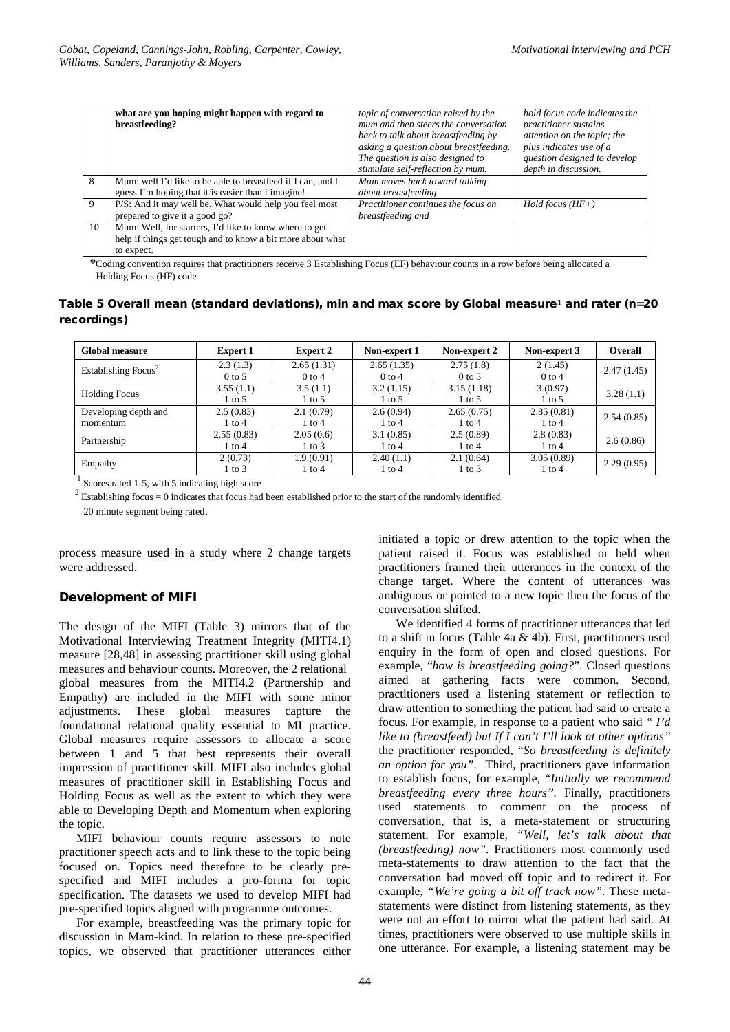|    | what are you hoping might happen with regard to<br>breastfeeding?                                                                  | topic of conversation raised by the<br>mum and then steers the conversation<br>back to talk about breastfeeding by<br>asking a question about breastfeeding.<br>The question is also designed to<br>stimulate self-reflection by mum. | hold focus code indicates the<br>practitioner sustains<br>attention on the topic; the<br>plus indicates use of a<br>question designed to develop<br>depth in discussion. |
|----|------------------------------------------------------------------------------------------------------------------------------------|---------------------------------------------------------------------------------------------------------------------------------------------------------------------------------------------------------------------------------------|--------------------------------------------------------------------------------------------------------------------------------------------------------------------------|
| -8 | Mum: well I'd like to be able to breastfeed if I can, and I<br>guess I'm hoping that it is easier than I imagine!                  | Mum moves back toward talking<br>about breastfeeding                                                                                                                                                                                  |                                                                                                                                                                          |
| -9 | P/S: And it may well be. What would help you feel most<br>prepared to give it a good go?                                           | Practitioner continues the focus on<br>breastfeeding and                                                                                                                                                                              | $Hold$ focus $(HF+)$                                                                                                                                                     |
| 10 | Mum: Well, for starters, I'd like to know where to get<br>help if things get tough and to know a bit more about what<br>to expect. |                                                                                                                                                                                                                                       |                                                                                                                                                                          |

 \*Coding convention requires that practitioners receive 3 Establishing Focus (EF) behaviour counts in a row before being allocated a Holding Focus (HF) code

### Table 5 Overall mean (standard deviations), min and max score by Global measure1 and rater (n=20 recordings)

| <b>Global measure</b>           | <b>Expert 1</b> | <b>Expert 2</b> | Non-expert 1 | Non-expert 2 | Non-expert 3 | <b>Overall</b> |
|---------------------------------|-----------------|-----------------|--------------|--------------|--------------|----------------|
| Establishing Focus <sup>2</sup> | 2.3(1.3)        | 2.65(1.31)      | 2.65(1.35)   | 2.75(1.8)    | 2(1.45)      | 2.47(1.45)     |
|                                 | $0$ to 5        | $0$ to 4        | $0$ to 4     | $0$ to 5     | $0$ to 4     |                |
| <b>Holding Focus</b>            | 3.55(1.1)       | 3.5(1.1)        | 3.2(1.15)    | 3.15(1.18)   | 3(0.97)      | 3.28(1.1)      |
|                                 | 1 to 5          | 1 to 5          | 1 to 5       | 1 to 5       | 1 to 5       |                |
| Developing depth and            | 2.5(0.83)       | 2.1(0.79)       | 2.6(0.94)    | 2.65(0.75)   | 2.85(0.81)   | 2.54(0.85)     |
| momentum                        | l to 4          | 1 to 4          | 1 to 4       | 1 to 4       | 1 to 4       |                |
|                                 | 2.55(0.83)      | 2.05(0.6)       | 3.1(0.85)    | 2.5(0.89)    | 2.8(0.83)    |                |
| Partnership                     | l to 4          | 1 to 3          | l to 4       | 1 to 4       | 1 to 4       | 2.6(0.86)      |
|                                 | 2(0.73)         | 1.9(0.91)       | 2.40(1.1)    | 2.1(0.64)    | 3.05(0.89)   | 2.29(0.95)     |
| Empathy                         | l to 3          | 1 to 4          | 1 to 4       | 1 to 3       | 1 to 4       |                |

<sup>1</sup> Scores rated 1-5, with 5 indicating high score <sup>2</sup> Established prior to the start of the randomly identified  $\frac{2}{3}$  Establishing focus = 0 indicates that focus had been established prior to the start of the randoml 20 minute segment being rated.

process measure used in a study where 2 change targets were addressed.

### Development of MIFI

The design of the MIFI (Table 3) mirrors that of the Motivational Interviewing Treatment Integrity (MITI4.1) measure [28,48] in assessing practitioner skill using global measures and behaviour counts. Moreover, the 2 relational global measures from the MITI4.2 (Partnership and Empathy) are included in the MIFI with some minor adjustments. These global measures capture the foundational relational quality essential to MI practice. Global measures require assessors to allocate a score between 1 and 5 that best represents their overall impression of practitioner skill. MIFI also includes global measures of practitioner skill in Establishing Focus and Holding Focus as well as the extent to which they were able to Developing Depth and Momentum when exploring the topic.

MIFI behaviour counts require assessors to note practitioner speech acts and to link these to the topic being focused on. Topics need therefore to be clearly prespecified and MIFI includes a pro-forma for topic specification. The datasets we used to develop MIFI had pre-specified topics aligned with programme outcomes.

For example, breastfeeding was the primary topic for discussion in Mam-kind. In relation to these pre-specified topics, we observed that practitioner utterances either

initiated a topic or drew attention to the topic when the patient raised it. Focus was established or held when practitioners framed their utterances in the context of the change target. Where the content of utterances was ambiguous or pointed to a new topic then the focus of the conversation shifted.

We identified 4 forms of practitioner utterances that led to a shift in focus (Table 4a  $\&$  4b). First, practitioners used enquiry in the form of open and closed questions. For example, "*how is breastfeeding going?*". Closed questions aimed at gathering facts were common. Second, practitioners used a listening statement or reflection to draw attention to something the patient had said to create a focus. For example, in response to a patient who said *" I'd like to (breastfeed) but If I can't I'll look at other options"*  the practitioner responded, "*So breastfeeding is definitely an option for you".* Third, practitioners gave information to establish focus, for example, "*Initially we recommend breastfeeding every three hours".* Finally, practitioners used statements to comment on the process of conversation, that is, a meta-statement or structuring statement. For example, *"Well, let's talk about that (breastfeeding) now".* Practitioners most commonly used meta-statements to draw attention to the fact that the conversation had moved off topic and to redirect it. For example, *"We're going a bit off track now"*. These metastatements were distinct from listening statements, as they were not an effort to mirror what the patient had said. At times, practitioners were observed to use multiple skills in one utterance. For example, a listening statement may be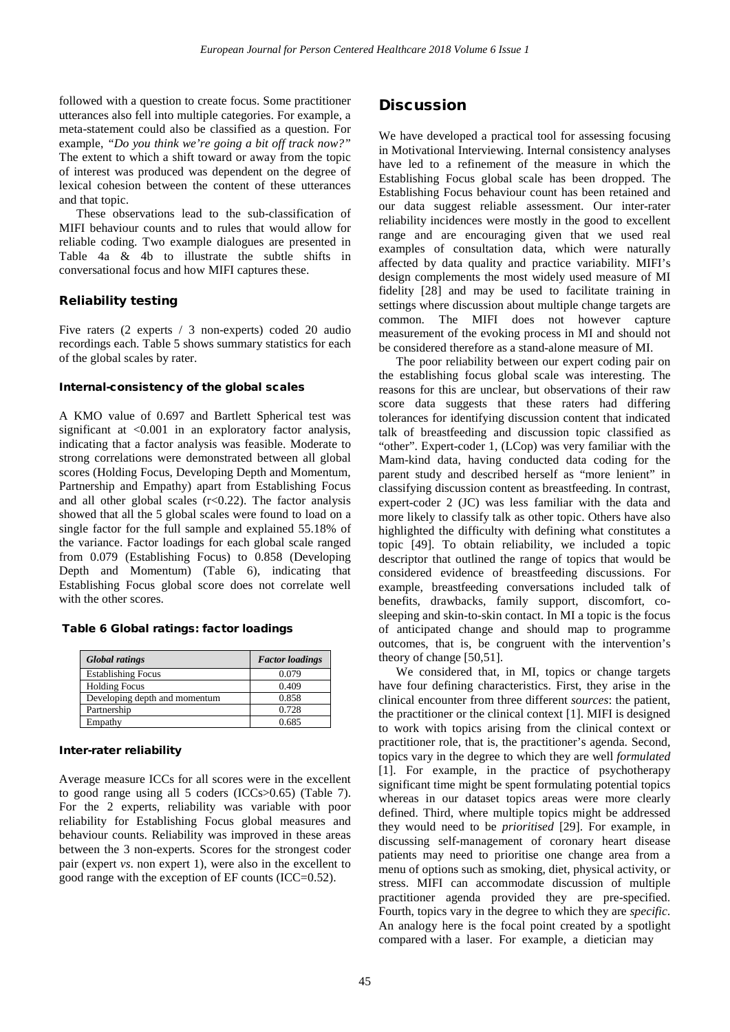followed with a question to create focus. Some practitioner utterances also fell into multiple categories. For example, a meta-statement could also be classified as a question. For example, *"Do you think we're going a bit off track now?"* The extent to which a shift toward or away from the topic of interest was produced was dependent on the degree of lexical cohesion between the content of these utterances and that topic.

These observations lead to the sub-classification of MIFI behaviour counts and to rules that would allow for reliable coding. Two example dialogues are presented in Table 4a & 4b to illustrate the subtle shifts in conversational focus and how MIFI captures these.

### Reliability testing

Five raters (2 experts / 3 non-experts) coded 20 audio recordings each. Table 5 shows summary statistics for each of the global scales by rater.

#### Internal-consistency of the global scales

A KMO value of 0.697 and Bartlett Spherical test was significant at  $\langle 0.001 \rangle$  in an exploratory factor analysis. indicating that a factor analysis was feasible. Moderate to strong correlations were demonstrated between all global scores (Holding Focus, Developing Depth and Momentum, Partnership and Empathy) apart from Establishing Focus and all other global scales  $(r<0.22)$ . The factor analysis showed that all the 5 global scales were found to load on a single factor for the full sample and explained 55.18% of the variance. Factor loadings for each global scale ranged from 0.079 (Establishing Focus) to 0.858 (Developing Depth and Momentum) (Table 6), indicating that Establishing Focus global score does not correlate well with the other scores.

#### Table 6 Global ratings: factor loadings

| <b>Global ratings</b>         | <b>Factor</b> loadings |
|-------------------------------|------------------------|
| <b>Establishing Focus</b>     | 0.079                  |
| <b>Holding Focus</b>          | 0.409                  |
| Developing depth and momentum | 0.858                  |
| Partnership                   | 0.728                  |
| Empathy                       | 0.685                  |

#### Inter-rater reliability

Average measure ICCs for all scores were in the excellent to good range using all 5 coders (ICCs>0.65) (Table 7). For the 2 experts, reliability was variable with poor reliability for Establishing Focus global measures and behaviour counts. Reliability was improved in these areas between the 3 non-experts. Scores for the strongest coder pair (expert *vs*. non expert 1), were also in the excellent to good range with the exception of EF counts (ICC=0.52).

### **Discussion**

We have developed a practical tool for assessing focusing in Motivational Interviewing. Internal consistency analyses have led to a refinement of the measure in which the Establishing Focus global scale has been dropped. The Establishing Focus behaviour count has been retained and our data suggest reliable assessment. Our inter-rater reliability incidences were mostly in the good to excellent range and are encouraging given that we used real examples of consultation data, which were naturally affected by data quality and practice variability. MIFI's design complements the most widely used measure of MI fidelity [28] and may be used to facilitate training in settings where discussion about multiple change targets are common. The MIFI does not however capture measurement of the evoking process in MI and should not be considered therefore as a stand-alone measure of MI.

The poor reliability between our expert coding pair on the establishing focus global scale was interesting. The reasons for this are unclear, but observations of their raw score data suggests that these raters had differing tolerances for identifying discussion content that indicated talk of breastfeeding and discussion topic classified as "other". Expert-coder 1, (LCop) was very familiar with the Mam-kind data, having conducted data coding for the parent study and described herself as "more lenient" in classifying discussion content as breastfeeding. In contrast, expert-coder 2 (JC) was less familiar with the data and more likely to classify talk as other topic. Others have also highlighted the difficulty with defining what constitutes a topic [49]. To obtain reliability, we included a topic descriptor that outlined the range of topics that would be considered evidence of breastfeeding discussions. For example, breastfeeding conversations included talk of benefits, drawbacks, family support, discomfort, cosleeping and skin-to-skin contact. In MI a topic is the focus of anticipated change and should map to programme outcomes, that is, be congruent with the intervention's theory of change [50,51].

We considered that, in MI, topics or change targets have four defining characteristics. First, they arise in the clinical encounter from three different *sources*: the patient, the practitioner or the clinical context [1]. MIFI is designed to work with topics arising from the clinical context or practitioner role, that is, the practitioner's agenda. Second, topics vary in the degree to which they are well *formulated* [1]. For example, in the practice of psychotherapy significant time might be spent formulating potential topics whereas in our dataset topics areas were more clearly defined. Third, where multiple topics might be addressed they would need to be *prioritised* [29]. For example, in discussing self-management of coronary heart disease patients may need to prioritise one change area from a menu of options such as smoking, diet, physical activity, or stress. MIFI can accommodate discussion of multiple practitioner agenda provided they are pre-specified. Fourth, topics vary in the degree to which they are *specific*. An analogy here is the focal point created by a spotlight compared with a laser. For example, a dietician may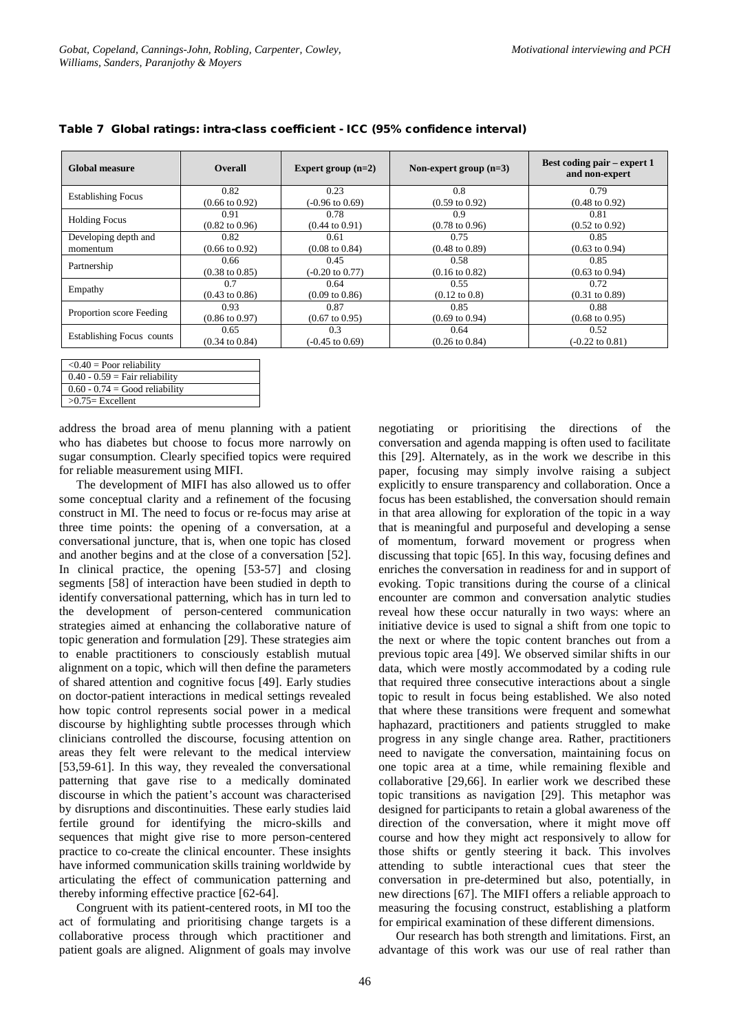| <b>Global measure</b>     | <b>Overall</b>            | Expert group $(n=2)$       | Non-expert group $(n=3)$  | Best coding pair – expert 1<br>and non-expert |
|---------------------------|---------------------------|----------------------------|---------------------------|-----------------------------------------------|
| <b>Establishing Focus</b> | 0.82                      | 0.23                       | 0.8                       | 0.79                                          |
|                           | $(0.66 \text{ to } 0.92)$ | $(-0.96 \text{ to } 0.69)$ | $(0.59 \text{ to } 0.92)$ | $(0.48 \text{ to } 0.92)$                     |
| <b>Holding Focus</b>      | 0.91                      | 0.78                       | 0.9                       | 0.81                                          |
|                           | $(0.82 \text{ to } 0.96)$ | $(0.44 \text{ to } 0.91)$  | $(0.78 \text{ to } 0.96)$ | $(0.52 \text{ to } 0.92)$                     |
| Developing depth and      | 0.82                      | 0.61                       | 0.75                      | 0.85                                          |
| momentum                  | $(0.66 \text{ to } 0.92)$ | $(0.08 \text{ to } 0.84)$  | $(0.48 \text{ to } 0.89)$ | $(0.63 \text{ to } 0.94)$                     |
| Partnership               | 0.66                      | 0.45                       | 0.58                      | 0.85                                          |
|                           | $(0.38 \text{ to } 0.85)$ | $(-0.20 \text{ to } 0.77)$ | $(0.16 \text{ to } 0.82)$ | $(0.63 \text{ to } 0.94)$                     |
| Empathy                   | 0.7                       | 0.64                       | 0.55                      | 0.72                                          |
|                           | $(0.43 \text{ to } 0.86)$ | $(0.09 \text{ to } 0.86)$  | $(0.12 \text{ to } 0.8)$  | $(0.31 \text{ to } 0.89)$                     |
|                           | 0.93                      | 0.87                       | 0.85                      | 0.88                                          |
| Proportion score Feeding  | $(0.86 \text{ to } 0.97)$ | $(0.67 \text{ to } 0.95)$  | $(0.69 \text{ to } 0.94)$ | $(0.68 \text{ to } 0.95)$                     |
|                           | 0.65                      | 0.3                        | 0.64                      | 0.52                                          |
| Establishing Focus counts | $(0.34 \text{ to } 0.84)$ | $(-0.45 \text{ to } 0.69)$ | $(0.26 \text{ to } 0.84)$ | $(-0.22 \text{ to } 0.81)$                    |

|  |  | Table 7 Global ratings: intra-class coefficient - ICC (95% confidence interval) |  |  |  |  |  |
|--|--|---------------------------------------------------------------------------------|--|--|--|--|--|
|--|--|---------------------------------------------------------------------------------|--|--|--|--|--|

| $< 0.40$ = Poor reliability      |
|----------------------------------|
| $0.40 - 0.59$ = Fair reliability |
| $0.60 - 0.74 = Good reliability$ |
| $>0.75$ Excellent                |

address the broad area of menu planning with a patient who has diabetes but choose to focus more narrowly on sugar consumption. Clearly specified topics were required for reliable measurement using MIFI.

The development of MIFI has also allowed us to offer some conceptual clarity and a refinement of the focusing construct in MI. The need to focus or re-focus may arise at three time points: the opening of a conversation, at a conversational juncture, that is, when one topic has closed and another begins and at the close of a conversation [52]. In clinical practice, the opening [53-57] and closing segments [58] of interaction have been studied in depth to identify conversational patterning, which has in turn led to the development of person-centered communication strategies aimed at enhancing the collaborative nature of topic generation and formulation [29]. These strategies aim to enable practitioners to consciously establish mutual alignment on a topic, which will then define the parameters of shared attention and cognitive focus [49]. Early studies on doctor-patient interactions in medical settings revealed how topic control represents social power in a medical discourse by highlighting subtle processes through which clinicians controlled the discourse, focusing attention on areas they felt were relevant to the medical interview [53,59-61]. In this way, they revealed the conversational patterning that gave rise to a medically dominated discourse in which the patient's account was characterised by disruptions and discontinuities. These early studies laid fertile ground for identifying the micro-skills and sequences that might give rise to more person-centered practice to co-create the clinical encounter. These insights have informed communication skills training worldwide by articulating the effect of communication patterning and thereby informing effective practice [62-64].

Congruent with its patient-centered roots, in MI too the act of formulating and prioritising change targets is a collaborative process through which practitioner and patient goals are aligned. Alignment of goals may involve negotiating or prioritising the directions of the conversation and agenda mapping is often used to facilitate this [29]. Alternately, as in the work we describe in this paper, focusing may simply involve raising a subject explicitly to ensure transparency and collaboration. Once a focus has been established, the conversation should remain in that area allowing for exploration of the topic in a way that is meaningful and purposeful and developing a sense of momentum, forward movement or progress when discussing that topic [65]. In this way, focusing defines and enriches the conversation in readiness for and in support of evoking. Topic transitions during the course of a clinical encounter are common and conversation analytic studies reveal how these occur naturally in two ways: where an initiative device is used to signal a shift from one topic to the next or where the topic content branches out from a previous topic area [49]. We observed similar shifts in our data, which were mostly accommodated by a coding rule that required three consecutive interactions about a single topic to result in focus being established. We also noted that where these transitions were frequent and somewhat haphazard, practitioners and patients struggled to make progress in any single change area. Rather, practitioners need to navigate the conversation, maintaining focus on one topic area at a time, while remaining flexible and collaborative [29,66]. In earlier work we described these topic transitions as navigation [29]. This metaphor was designed for participants to retain a global awareness of the direction of the conversation, where it might move off course and how they might act responsively to allow for those shifts or gently steering it back. This involves attending to subtle interactional cues that steer the conversation in pre-determined but also, potentially, in new directions [67]. The MIFI offers a reliable approach to measuring the focusing construct, establishing a platform for empirical examination of these different dimensions.

Our research has both strength and limitations. First, an advantage of this work was our use of real rather than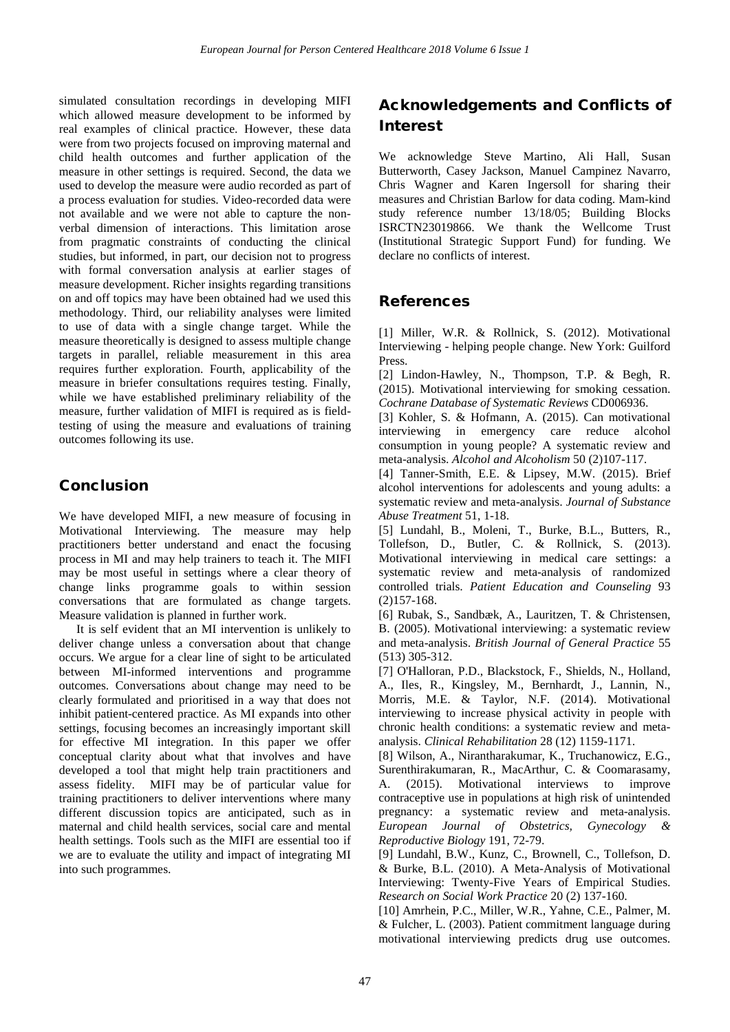simulated consultation recordings in developing MIFI which allowed measure development to be informed by real examples of clinical practice. However, these data were from two projects focused on improving maternal and child health outcomes and further application of the measure in other settings is required. Second, the data we used to develop the measure were audio recorded as part of a process evaluation for studies. Video-recorded data were not available and we were not able to capture the nonverbal dimension of interactions. This limitation arose from pragmatic constraints of conducting the clinical studies, but informed, in part, our decision not to progress with formal conversation analysis at earlier stages of measure development. Richer insights regarding transitions on and off topics may have been obtained had we used this methodology. Third, our reliability analyses were limited to use of data with a single change target. While the measure theoretically is designed to assess multiple change targets in parallel, reliable measurement in this area requires further exploration. Fourth, applicability of the measure in briefer consultations requires testing. Finally, while we have established preliminary reliability of the measure, further validation of MIFI is required as is fieldtesting of using the measure and evaluations of training outcomes following its use.

### Conclusion

We have developed MIFI, a new measure of focusing in Motivational Interviewing. The measure may help practitioners better understand and enact the focusing process in MI and may help trainers to teach it. The MIFI may be most useful in settings where a clear theory of change links programme goals to within session conversations that are formulated as change targets. Measure validation is planned in further work.

It is self evident that an MI intervention is unlikely to deliver change unless a conversation about that change occurs. We argue for a clear line of sight to be articulated between MI-informed interventions and programme outcomes. Conversations about change may need to be clearly formulated and prioritised in a way that does not inhibit patient-centered practice. As MI expands into other settings, focusing becomes an increasingly important skill for effective MI integration. In this paper we offer conceptual clarity about what that involves and have developed a tool that might help train practitioners and assess fidelity. MIFI may be of particular value for training practitioners to deliver interventions where many different discussion topics are anticipated, such as in maternal and child health services, social care and mental health settings. Tools such as the MIFI are essential too if we are to evaluate the utility and impact of integrating MI into such programmes.

# Acknowledgements and Conflicts of Interest

We acknowledge Steve Martino, Ali Hall, Susan Butterworth, Casey Jackson, Manuel Campinez Navarro, Chris Wagner and Karen Ingersoll for sharing their measures and Christian Barlow for data coding. Mam-kind study reference number 13/18/05; Building Blocks ISRCTN23019866. We thank the Wellcome Trust (Institutional Strategic Support Fund) for funding. We declare no conflicts of interest.

### References

[1] Miller, W.R. & Rollnick, S. (2012). Motivational Interviewing - helping people change. New York: Guilford Press.

[2] Lindon-Hawley, N., Thompson, T.P. & Begh, R. (2015). Motivational interviewing for smoking cessation. *Cochrane Database of Systematic Reviews* CD006936.

[3] Kohler, S. & Hofmann, A. (2015). Can motivational interviewing in emergency care reduce alcohol consumption in young people? A systematic review and meta-analysis. *Alcohol and Alcoholism* 50 (2)107-117.

[4] Tanner-Smith, E.E. & Lipsey, M.W. (2015). Brief alcohol interventions for adolescents and young adults: a systematic review and meta-analysis. *Journal of Substance Abuse Treatment* 51, 1-18.

[5] Lundahl, B., Moleni, T., Burke, B.L., Butters, R., Tollefson, D., Butler, C. & Rollnick, S. (2013). Motivational interviewing in medical care settings: a systematic review and meta-analysis of randomized controlled trials. *Patient Education and Counseling* 93 (2)157-168.

[6] Rubak, S., Sandbæk, A., Lauritzen, T. & Christensen, B. (2005). Motivational interviewing: a systematic review and meta-analysis. *British Journal of General Practice* 55 (513) 305-312.

[7] O'Halloran, P.D., Blackstock, F., Shields, N., Holland, A., Iles, R., Kingsley, M., Bernhardt, J., Lannin, N., Morris, M.E. & Taylor, N.F. (2014). Motivational interviewing to increase physical activity in people with chronic health conditions: a systematic review and metaanalysis. *Clinical Rehabilitation* 28 (12) 1159-1171.

[8] Wilson, A., Nirantharakumar, K., Truchanowicz, E.G., Surenthirakumaran, R., MacArthur, C. & Coomarasamy, A. (2015). Motivational interviews to improve contraceptive use in populations at high risk of unintended pregnancy: a systematic review and meta-analysis. *European Journal of Obstetrics, Gynecology & Reproductive Biology* 191, 72-79.

[9] Lundahl, B.W., Kunz, C., Brownell, C., Tollefson, D. & Burke, B.L. (2010). A Meta-Analysis of Motivational Interviewing: Twenty-Five Years of Empirical Studies. *Research on Social Work Practice* 20 (2) 137-160.

[10] Amrhein, P.C., Miller, W.R., Yahne, C.E., Palmer, M. & Fulcher, L. (2003). Patient commitment language during motivational interviewing predicts drug use outcomes.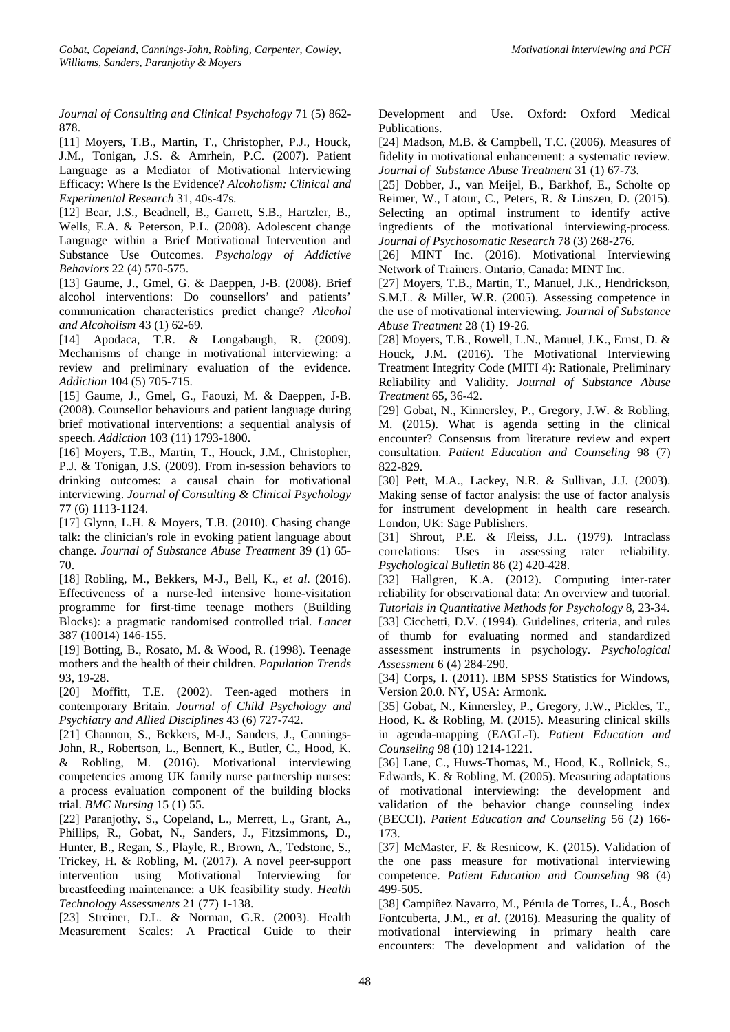*Journal of Consulting and Clinical Psychology* 71 (5) 862- 878.

[11] Moyers, T.B., Martin, T., Christopher, P.J., Houck, J.M., Tonigan, J.S. & Amrhein, P.C. (2007). Patient Language as a Mediator of Motivational Interviewing Efficacy: Where Is the Evidence? *Alcoholism: Clinical and Experimental Research* 31, 40s-47s.

[12] Bear, J.S., Beadnell, B., Garrett, S.B., Hartzler, B., Wells, E.A. & Peterson, P.L. (2008). Adolescent change Language within a Brief Motivational Intervention and Substance Use Outcomes. *Psychology of Addictive Behaviors* 22 (4) 570-575.

[13] Gaume, J., Gmel, G. & Daeppen, J-B. (2008). Brief alcohol interventions: Do counsellors' and patients' communication characteristics predict change? *Alcohol and Alcoholism* 43 (1) 62-69.

[14] Apodaca, T.R. & Longabaugh, R. (2009). Mechanisms of change in motivational interviewing: a review and preliminary evaluation of the evidence. *Addiction* 104 (5) 705-715.

[15] Gaume, J., Gmel, G., Faouzi, M. & Daeppen, J-B. (2008). Counsellor behaviours and patient language during brief motivational interventions: a sequential analysis of speech. *Addiction* 103 (11) 1793-1800.

[16] Moyers, T.B., Martin, T., Houck, J.M., Christopher, P.J. & Tonigan, J.S. (2009). From in-session behaviors to drinking outcomes: a causal chain for motivational interviewing. *Journal of Consulting & Clinical Psychology* 77 (6) 1113-1124.

[17] Glynn, L.H. & Moyers, T.B. (2010). Chasing change talk: the clinician's role in evoking patient language about change. *Journal of Substance Abuse Treatment* 39 (1) 65- 70.

[18] Robling, M., Bekkers, M-J., Bell, K., *et al*. (2016). Effectiveness of a nurse-led intensive home-visitation programme for first-time teenage mothers (Building Blocks): a pragmatic randomised controlled trial. *Lancet* 387 (10014) 146-155.

[19] Botting, B., Rosato, M. & Wood, R. (1998). Teenage mothers and the health of their children. *Population Trends* 93, 19-28.

[20] Moffitt, T.E. (2002). Teen-aged mothers in contemporary Britain. *Journal of Child Psychology and Psychiatry and Allied Disciplines* 43 (6) 727-742.

[21] Channon, S., Bekkers, M-J., Sanders, J., Cannings-John, R., Robertson, L., Bennert, K., Butler, C., Hood, K. & Robling, M. (2016). Motivational interviewing competencies among UK family nurse partnership nurses: a process evaluation component of the building blocks trial. *BMC Nursing* 15 (1) 55.

[22] Paranjothy, S., Copeland, L., Merrett, L., Grant, A., Phillips, R., Gobat, N., Sanders, J., Fitzsimmons, D., Hunter, B., Regan, S., Playle, R., Brown, A., Tedstone, S., Trickey, H. & Robling, M. (2017). A novel peer-support intervention using Motivational Interviewing for breastfeeding maintenance: a UK feasibility study. *Health Technology Assessments* 21 (77) 1-138.

[23] Streiner, D.L. & Norman, G.R. (2003). Health Measurement Scales: A Practical Guide to their

Development and Use. Oxford: Oxford Medical Publications.

[24] Madson, M.B. & Campbell, T.C. (2006). Measures of fidelity in motivational enhancement: a systematic review. *Journal of Substance Abuse Treatment* 31 (1) 67-73.

[25] Dobber, J., van Meijel, B., Barkhof, E., Scholte op Reimer, W., Latour, C., Peters, R. & Linszen, D. (2015). Selecting an optimal instrument to identify active ingredients of the motivational interviewing-process. *Journal of Psychosomatic Research* 78 (3) 268-276.

[26] MINT Inc. (2016). Motivational Interviewing Network of Trainers. Ontario, Canada: MINT Inc.

[27] Moyers, T.B., Martin, T., Manuel, J.K., Hendrickson, S.M.L. & Miller, W.R. (2005). Assessing competence in the use of motivational interviewing. *Journal of Substance Abuse Treatment* 28 (1) 19-26.

[28] Moyers, T.B., Rowell, L.N., Manuel, J.K., Ernst, D. & Houck, J.M. (2016). The Motivational Interviewing Treatment Integrity Code (MITI 4): Rationale, Preliminary Reliability and Validity. *Journal of Substance Abuse Treatment* 65, 36-42.

[29] Gobat, N., Kinnersley, P., Gregory, J.W. & Robling, M. (2015). What is agenda setting in the clinical encounter? Consensus from literature review and expert consultation. *Patient Education and Counseling* 98 (7) 822-829.

[30] Pett, M.A., Lackey, N.R. & Sullivan, J.J. (2003). Making sense of factor analysis: the use of factor analysis for instrument development in health care research. London, UK: Sage Publishers.

[31] Shrout, P.E. & Fleiss, J.L. (1979). Intraclass correlations: Uses in assessing rater reliability. *Psychological Bulletin* 86 (2) 420-428.

[32] Hallgren, K.A. (2012). Computing inter-rater reliability for observational data: An overview and tutorial. *Tutorials in Quantitative Methods for Psychology* 8, 23-34. [33] Cicchetti, D.V. (1994). Guidelines, criteria, and rules of thumb for evaluating normed and standardized assessment instruments in psychology. *Psychological Assessment* 6 (4) 284-290.

[34] Corps, I. (2011). IBM SPSS Statistics for Windows, Version 20.0. NY, USA: Armonk.

[35] Gobat, N., Kinnersley, P., Gregory, J.W., Pickles, T., Hood, K. & Robling, M. (2015). Measuring clinical skills in agenda-mapping (EAGL-I). *Patient Education and Counseling* 98 (10) 1214-1221.

[36] Lane, C., Huws-Thomas, M., Hood, K., Rollnick, S., Edwards, K. & Robling, M. (2005). Measuring adaptations of motivational interviewing: the development and validation of the behavior change counseling index (BECCI). *Patient Education and Counseling* 56 (2) 166- 173.

[37] McMaster, F. & Resnicow, K. (2015). Validation of the one pass measure for motivational interviewing competence. *Patient Education and Counseling* 98 (4) 499-505.

[38] Campiñez Navarro, M., Pérula de Torres, L.Á., Bosch Fontcuberta, J.M., *et al*. (2016). Measuring the quality of motivational interviewing in primary health care encounters: The development and validation of the